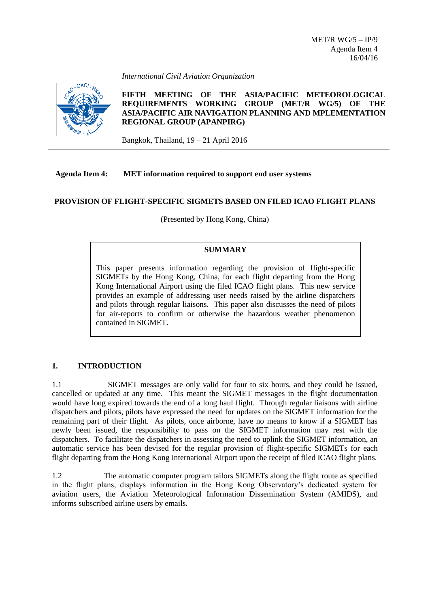*International Civil Aviation Organization*



# **FIFTH MEETING OF THE ASIA/PACIFIC METEOROLOGICAL REQUIREMENTS WORKING GROUP (MET/R WG/5) OF THE ASIA/PACIFIC AIR NAVIGATION PLANNING AND MPLEMENTATION REGIONAL GROUP (APANPIRG)**

Bangkok, Thailand, 19 – 21 April 2016

# **Agenda Item 4: MET information required to support end user systems**

# **PROVISION OF FLIGHT-SPECIFIC SIGMETS BASED ON FILED ICAO FLIGHT PLANS**

(Presented by Hong Kong, China)

### **SUMMARY**

This paper presents information regarding the provision of flight-specific SIGMETs by the Hong Kong, China, for each flight departing from the Hong Kong International Airport using the filed ICAO flight plans. This new service provides an example of addressing user needs raised by the airline dispatchers and pilots through regular liaisons. This paper also discusses the need of pilots for air-reports to confirm or otherwise the hazardous weather phenomenon contained in SIGMET.

# **1. INTRODUCTION**

1.1 SIGMET messages are only valid for four to six hours, and they could be issued, cancelled or updated at any time. This meant the SIGMET messages in the flight documentation would have long expired towards the end of a long haul flight. Through regular liaisons with airline dispatchers and pilots, pilots have expressed the need for updates on the SIGMET information for the remaining part of their flight. As pilots, once airborne, have no means to know if a SIGMET has newly been issued, the responsibility to pass on the SIGMET information may rest with the dispatchers. To facilitate the dispatchers in assessing the need to uplink the SIGMET information, an automatic service has been devised for the regular provision of flight-specific SIGMETs for each flight departing from the Hong Kong International Airport upon the receipt of filed ICAO flight plans.

1.2 The automatic computer program tailors SIGMETs along the flight route as specified in the flight plans, displays information in the Hong Kong Observatory's dedicated system for aviation users, the Aviation Meteorological Information Dissemination System (AMIDS), and informs subscribed airline users by emails.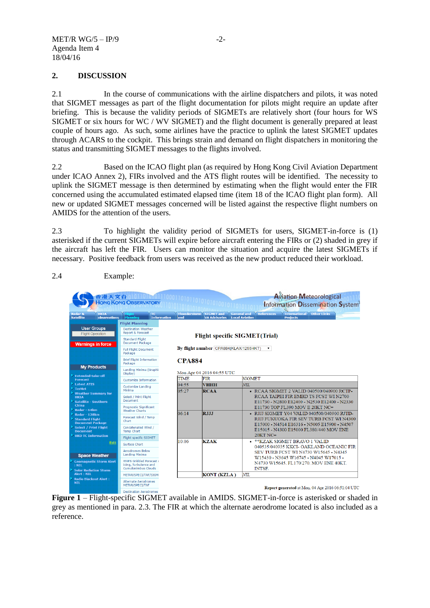### **2. DISCUSSION**

2.1 In the course of communications with the airline dispatchers and pilots, it was noted that SIGMET messages as part of the flight documentation for pilots might require an update after briefing. This is because the validity periods of SIGMETs are relatively short (four hours for WS SIGMET or six hours for WC / WV SIGMET) and the flight document is generally prepared at least couple of hours ago. As such, some airlines have the practice to uplink the latest SIGMET updates through ACARS to the cockpit. This brings strain and demand on flight dispatchers in monitoring the status and transmitting SIGMET messages to the flights involved.

2.2 Based on the ICAO flight plan (as required by Hong Kong Civil Aviation Department under ICAO Annex 2), FIRs involved and the ATS flight routes will be identified. The necessity to uplink the SIGMET message is then determined by estimating when the flight would enter the FIR concerned using the accumulated estimated elapsed time (item 18 of the ICAO flight plan form). All new or updated SIGMET messages concerned will be listed against the respective flight numbers on AMIDS for the attention of the users.

2.3 To highlight the validity period of SIGMETs for users, SIGMET-in-force is (1) asterisked if the current SIGMETs will expire before aircraft entering the FIRs or (2) shaded in grey if the aircraft has left the FIR. Users can monitor the situation and acquire the latest SIGMETs if necessary. Positive feedback from users was received as the new product reduced their workload.



**Figure 1** – Flight-specific SIGMET available in AMIDS. SIGMET-in-force is asterisked or shaded in grey as mentioned in para. 2.3. The FIR at which the alternate aerodrome located is also included as a reference.

### 2.4 Example: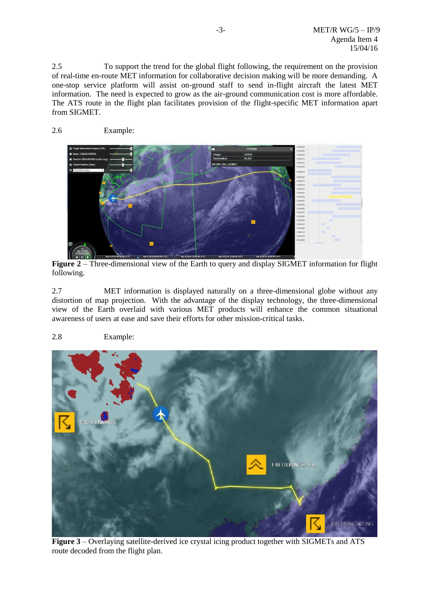2.5 To support the trend for the global flight following, the requirement on the provision of real-time en-route MET information for collaborative decision making will be more demanding. A one-stop service platform will assist on-ground staff to send in-flight aircraft the latest MET information. The need is expected to grow as the air-ground communication cost is more affordable. The ATS route in the flight plan facilitates provision of the flight-specific MET information apart from SIGMET.





**Figure 2** – Three-dimensional view of the Earth to query and display SIGMET information for flight following.

2.7 MET information is displayed naturally on a three-dimensional globe without any distortion of map projection. With the advantage of the display technology, the three-dimensional view of the Earth overlaid with various MET products will enhance the common situational awareness of users at ease and save their efforts for other mission-critical tasks.

# 2.8 Example:



**Figure 3** – Overlaying satellite-derived ice crystal icing product together with SIGMETs and ATS route decoded from the flight plan.